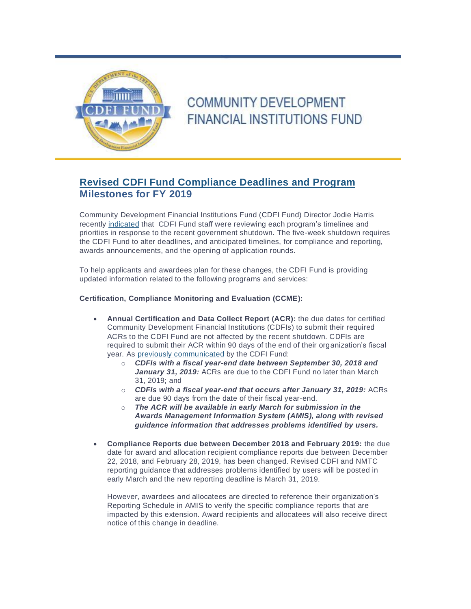

## **COMMUNITY DEVELOPMENT FINANCIAL INSTITUTIONS FUND**

## **Revised CDFI Fund Compliance Deadlines and Program Milestones for FY 2019**

Community Development Financial Institutions Fund (CDFI Fund) Director Jodie Harris recently [indicated](http://links.govdelivery.com/track?type=click&enid=ZWFzPTEmbXNpZD0mYXVpZD0mbWFpbGluZ2lkPTIwMTkwMjEyLjE1NDk2MDEmbWVzc2FnZWlkPU1EQi1QUkQtQlVMLTIwMTkwMjEyLjE1NDk2MDEmZGF0YWJhc2VpZD0xMDAxJnNlcmlhbD0xNzA4NTMwNCZlbWFpbGlkPWFsZXgucnVpekBub3ZvY28uY29tJnVzZXJpZD1hbGV4LnJ1aXpAbm92b2NvLmNvbSZ0YXJnZXRpZD0mZmw9JmV4dHJhPU11bHRpdmFyaWF0ZUlkPSYmJg==&&&100&&&https://www.cdfifund.gov/news-events/Pages/directors-detail.aspx?MessageID=27) that CDFI Fund staff were reviewing each program's timelines and priorities in response to the recent government shutdown. The five-week shutdown requires the CDFI Fund to alter deadlines, and anticipated timelines, for compliance and reporting, awards announcements, and the opening of application rounds.

To help applicants and awardees plan for these changes, the CDFI Fund is providing updated information related to the following programs and services:

## **Certification, Compliance Monitoring and Evaluation (CCME):**

- **Annual Certification and Data Collect Report (ACR):** the due dates for certified Community Development Financial Institutions (CDFIs) to submit their required ACRs to the CDFI Fund are not affected by the recent shutdown. CDFIs are required to submit their ACR within 90 days of the end of their organization's fiscal year. As [previously communicated](http://links.govdelivery.com/track?type=click&enid=ZWFzPTEmbXNpZD0mYXVpZD0mbWFpbGluZ2lkPTIwMTkwMjEyLjE1NDk2MDEmbWVzc2FnZWlkPU1EQi1QUkQtQlVMLTIwMTkwMjEyLjE1NDk2MDEmZGF0YWJhc2VpZD0xMDAxJnNlcmlhbD0xNzA4NTMwNCZlbWFpbGlkPWFsZXgucnVpekBub3ZvY28uY29tJnVzZXJpZD1hbGV4LnJ1aXpAbm92b2NvLmNvbSZ0YXJnZXRpZD0mZmw9JmV4dHJhPU11bHRpdmFyaWF0ZUlkPSYmJg==&&&101&&&https://www.cdfifund.gov/news-events/news/Pages/news-detail.aspx?NewsID=333&Category=Updates) by the CDFI Fund:
	- o *CDFIs with a fiscal year-end date between September 30, 2018 and* January 31, 2019: ACRs are due to the CDFI Fund no later than March 31, 2019; and
	- o *CDFIs with a fiscal year-end that occurs after January 31, 2019:* ACRs are due 90 days from the date of their fiscal year-end.
	- o *The ACR will be available in early March for submission in the Awards Management Information System (AMIS), along with revised guidance information that addresses problems identified by users.*
- **Compliance Reports due between December 2018 and February 2019:** the due date for award and allocation recipient compliance reports due between December 22, 2018, and February 28, 2019, has been changed. Revised CDFI and NMTC reporting guidance that addresses problems identified by users will be posted in early March and the new reporting deadline is March 31, 2019.

However, awardees and allocatees are directed to reference their organization's Reporting Schedule in AMIS to verify the specific compliance reports that are impacted by this extension. Award recipients and allocatees will also receive direct notice of this change in deadline.